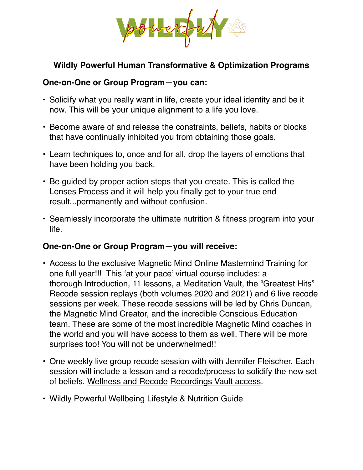

## **Wildly Powerful Human Transformative & Optimization Programs**

## **One-on-One or Group Program—you can:**

- Solidify what you really want in life, create your ideal identity and be it now. This will be your unique alignment to a life you love.
- Become aware of and release the constraints, beliefs, habits or blocks that have continually inhibited you from obtaining those goals.
- Learn techniques to, once and for all, drop the layers of emotions that have been holding you back.
- Be guided by proper action steps that you create. This is called the Lenses Process and it will help you finally get to your true end result...permanently and without confusion.
- Seamlessly incorporate the ultimate nutrition & fitness program into your life.

## **One-on-One or Group Program—you will receive:**

- Access to the exclusive Magnetic Mind Online Mastermind Training for one full year!!! This 'at your pace' virtual course includes: a thorough Introduction, 11 lessons, a Meditation Vault, the "Greatest Hits" Recode session replays (both volumes 2020 and 2021) and 6 live recode sessions per week. These recode sessions will be led by Chris Duncan, the Magnetic Mind Creator, and the incredible Conscious Education team. These are some of the most incredible Magnetic Mind coaches in the world and you will have access to them as well. There will be more surprises too! You will not be underwhelmed!!
- One weekly live group recode session with with Jennifer Fleischer. Each session will include a lesson and a recode/process to solidify the new set of beliefs. Wellness and Recode Recordings Vault access.
- Wildly Powerful Wellbeing Lifestyle & Nutrition Guide